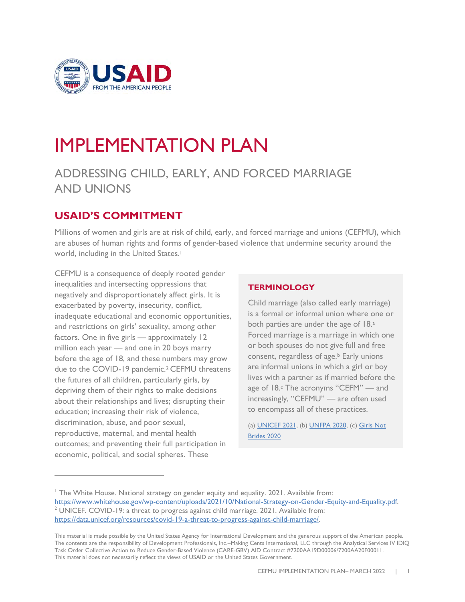

# IMPLEMENTATION PLAN

# ADDRESSING CHILD, EARLY, AND FORCED MARRIAGE AND UNIONS

# **USAID'S COMMITMENT**

Millions of women and girls are at risk of child, early, and forced marriage and unions (CEFMU), which are abuses of human rights and forms of gender-based violence that undermine security around the world, including in the United States.<sup>1</sup>

CEFMU is a consequence of deeply rooted gender inequalities and intersecting oppressions that negatively and disproportionately affect girls. It is exacerbated by poverty, insecurity, conflict, inadequate educational and economic opportunities, and restrictions on girls' sexuality, among other factors. One in five girls — approximately 12 million each year — and one in 20 boys marry before the age of 18, and these numbers may grow due to the COVID-19 pandemic.<sup>2</sup> CEFMU threatens the futures of all children, particularly girls, by depriving them of their rights to make decisions about their relationships and lives; disrupting their education; increasing their risk of violence, discrimination, abuse, and poor sexual, reproductive, maternal, and mental health outcomes; and preventing their full participation in economic, political, and social spheres. These

## **TERMINOLOGY**

Child marriage (also called early marriage) is a formal or informal union where one or both parties are under the age of 18.<sup>a</sup> Forced marriage is a marriage in which one or both spouses do not give full and free consent, regardless of age.<sup>b</sup> Early unions are informal unions in which a girl or boy lives with a partner as if married before the age of 18.<sup>c</sup> The acronyms "CEFM" — and increasingly, "CEFMU" — are often used to encompass all of these practices.

(a[\) UNICEF 2021,](https://www.unicef.org/protection/child-marriage) (b[\) UNFPA 2020,](https://www.unfpa.org/child-marriage-frequently-asked-questions#what%20is%20the%20difference%20between%20child%20marriage,%20early%20marriage%20and%20forced%20marriage) (c[\) Girls Not](https://www.girlsnotbrides.es/documents/947/Child-early-and-forced-marriages-and-unions-in-LAC.pdf)  [Brides 2020](https://www.girlsnotbrides.es/documents/947/Child-early-and-forced-marriages-and-unions-in-LAC.pdf)

<sup>&</sup>lt;sup>1</sup> The White House. National strategy on gender equity and equality. 2021. Available from: [https://www.whitehouse.gov/wp-content/uploads/2021/10/National-Strategy-on-Gender-Equity-and-Equality.pdf.](https://www.whitehouse.gov/wp-content/uploads/2021/10/National-Strategy-on-Gender-Equity-and-Equality.pdf) <sup>2</sup> UNICEF. COVID-19: a threat to progress against child marriage. 2021. Available from: [https://data.unicef.org/resources/covid-19-a-threat-to-progress-against-child-marriage/.](https://data.unicef.org/resources/covid-19-a-threat-to-progress-against-child-marriage/)

This material is made possible by the United States Agency for International Development and the generous support of the American people. The contents are the responsibility of Development Professionals, Inc.–Making Cents International, LLC through the Analytical Services IV IDIQ Task Order Collective Action to Reduce Gender-Based Violence (CARE-GBV) AID Contract #7200AA19D00006/7200AA20F00011. This material does not necessarily reflect the views of USAID or the United States Government.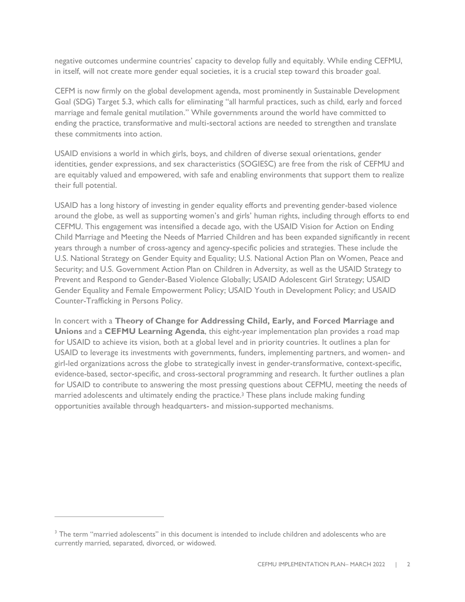negative outcomes undermine countries' capacity to develop fully and equitably. While ending CEFMU, in itself, will not create more gender equal societies, it is a crucial step toward this broader goal.

CEFM is now firmly on the global development agenda, most prominently in Sustainable Development Goal (SDG) Target 5.3, which calls for eliminating "all harmful practices, such as child, early and forced marriage and female genital mutilation." While governments around the world have committed to ending the practice, transformative and multi-sectoral actions are needed to strengthen and translate these commitments into action.

USAID envisions a world in which girls, boys, and children of diverse sexual orientations, gender identities, gender expressions, and sex characteristics (SOGIESC) are free from the risk of CEFMU and are equitably valued and empowered, with safe and enabling environments that support them to realize their full potential.

USAID has a long history of investing in gender equality efforts and preventing gender-based violence around the globe, as well as supporting women's and girls' human rights, including through efforts to end CEFMU. This engagement was intensified a decade ago, with the USAID Vision for Action on Ending Child Marriage and Meeting the Needs of Married Children and has been expanded significantly in recent years through a number of cross-agency and agency-specific policies and strategies. These include the U.S. National Strategy on Gender Equity and Equality; U.S. National Action Plan on Women, Peace and Security; and U.S. Government Action Plan on Children in Adversity, as well as the USAID Strategy to Prevent and Respond to Gender-Based Violence Globally; USAID Adolescent Girl Strategy; USAID Gender Equality and Female Empowerment Policy; USAID Youth in Development Policy; and USAID Counter-Trafficking in Persons Policy.

In concert with a **Theory of Change for Addressing Child, Early, and Forced Marriage and Unions** and a **CEFMU Learning Agenda**, this eight-year implementation plan provides a road map for USAID to achieve its vision, both at a global level and in priority countries. It outlines a plan for USAID to leverage its investments with governments, funders, implementing partners, and women- and girl-led organizations across the globe to strategically invest in gender-transformative, context-specific, evidence-based, sector-specific, and cross-sectoral programming and research. It further outlines a plan for USAID to contribute to answering the most pressing questions about CEFMU, meeting the needs of married adolescents and ultimately ending the practice. <sup>3</sup> These plans include making funding opportunities available through headquarters- and mission-supported mechanisms.

<sup>&</sup>lt;sup>3</sup> The term "married adolescents" in this document is intended to include children and adolescents who are currently married, separated, divorced, or widowed.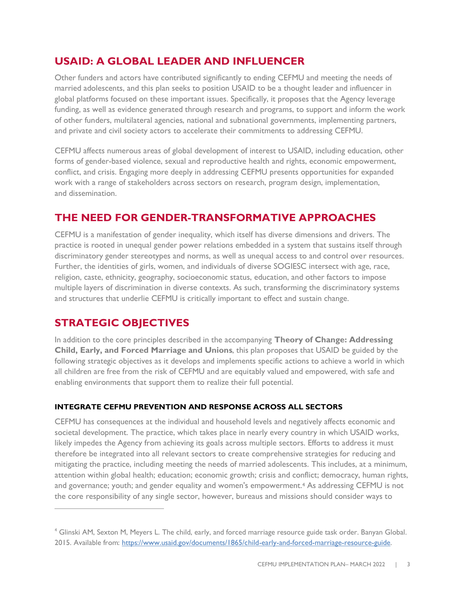# **USAID: A GLOBAL LEADER AND INFLUENCER**

Other funders and actors have contributed significantly to ending CEFMU and meeting the needs of married adolescents, and this plan seeks to position USAID to be a thought leader and influencer in global platforms focused on these important issues. Specifically, it proposes that the Agency leverage funding, as well as evidence generated through research and programs, to support and inform the work of other funders, multilateral agencies, national and subnational governments, implementing partners, and private and civil society actors to accelerate their commitments to addressing CEFMU.

CEFMU affects numerous areas of global development of interest to USAID, including education, other forms of gender-based violence, sexual and reproductive health and rights, economic empowerment, conflict, and crisis. Engaging more deeply in addressing CEFMU presents opportunities for expanded work with a range of stakeholders across sectors on research, program design, implementation, and dissemination.

# **THE NEED FOR GENDER-TRANSFORMATIVE APPROACHES**

CEFMU is a manifestation of gender inequality, which itself has diverse dimensions and drivers. The practice is rooted in unequal gender power relations embedded in a system that sustains itself through discriminatory gender stereotypes and norms, as well as unequal access to and control over resources. Further, the identities of girls, women, and individuals of diverse SOGIESC intersect with age, race, religion, caste, ethnicity, geography, socioeconomic status, education, and other factors to impose multiple layers of discrimination in diverse contexts. As such, transforming the discriminatory systems and structures that underlie CEFMU is critically important to effect and sustain change.

# **STRATEGIC OBJECTIVES**

In addition to the core principles described in the accompanying **Theory of Change: Addressing Child, Early, and Forced Marriage and Unions**, this plan proposes that USAID be guided by the following strategic objectives as it develops and implements specific actions to achieve a world in which all children are free from the risk of CEFMU and are equitably valued and empowered, with safe and enabling environments that support them to realize their full potential.

## **INTEGRATE CEFMU PREVENTION AND RESPONSE ACROSS ALL SECTORS**

CEFMU has consequences at the individual and household levels and negatively affects economic and societal development. The practice, which takes place in nearly every country in which USAID works, likely impedes the Agency from achieving its goals across multiple sectors. Efforts to address it must therefore be integrated into all relevant sectors to create comprehensive strategies for reducing and mitigating the practice, including meeting the needs of married adolescents. This includes, at a minimum, attention within global health; education; economic growth; crisis and conflict; democracy, human rights, and governance; youth; and gender equality and women's empowerment. <sup>4</sup> As addressing CEFMU is not the core responsibility of any single sector, however, bureaus and missions should consider ways to

<sup>4</sup> Glinski AM, Sexton M, Meyers L. The child, early, and forced marriage resource guide task order. Banyan Global. 2015. Available from: [https://www.usaid.gov/documents/1865/child-early-and-forced-marriage-resource-guide.](https://www.usaid.gov/documents/1865/child-early-and-forced-marriage-resource-guide)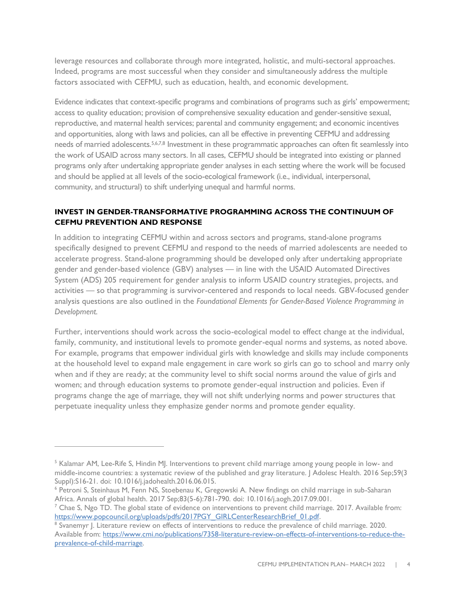leverage resources and collaborate through more integrated, holistic, and multi-sectoral approaches. Indeed, programs are most successful when they consider and simultaneously address the multiple factors associated with CEFMU, such as education, health, and economic development.

Evidence indicates that context-specific programs and combinations of programs such as girls' empowerment; access to quality education; provision of comprehensive sexuality education and gender-sensitive sexual, reproductive, and maternal health services; parental and community engagement; and economic incentives and opportunities, along with laws and policies, can all be effective in preventing CEFMU and addressing needs of married adolescents.5,6,7,8 Investment in these programmatic approaches can often fit seamlessly into the work of USAID across many sectors. In all cases, CEFMU should be integrated into existing or planned programs only after undertaking appropriate gender analyses in each setting where the work will be focused and should be applied at all levels of the socio-ecological framework (i.e., individual, interpersonal, community, and structural) to shift underlying unequal and harmful norms.

#### **INVEST IN GENDER-TRANSFORMATIVE PROGRAMMING ACROSS THE CONTINUUM OF CEFMU PREVENTION AND RESPONSE**

In addition to integrating CEFMU within and across sectors and programs, stand-alone programs specifically designed to prevent CEFMU and respond to the needs of married adolescents are needed to accelerate progress. Stand-alone programming should be developed only after undertaking appropriate gender and gender-based violence (GBV) analyses — in line with the USAID Automated Directives System (ADS) 205 requirement for gender analysis to inform USAID country strategies, projects, and activities — so that programming is survivor-centered and responds to local needs. GBV-focused gender analysis questions are also outlined in the *Foundational Elements for Gender-Based Violence Programming in Development.*

Further, interventions should work across the socio-ecological model to effect change at the individual, family, community, and institutional levels to promote gender-equal norms and systems, as noted above. For example, programs that empower individual girls with knowledge and skills may include components at the household level to expand male engagement in care work so girls can go to school and marry only when and if they are ready; at the community level to shift social norms around the value of girls and women; and through education systems to promote gender-equal instruction and policies. Even if programs change the age of marriage, they will not shift underlying norms and power structures that perpetuate inequality unless they emphasize gender norms and promote gender equality.

<sup>&</sup>lt;sup>5</sup> Kalamar AM, Lee-Rife S, Hindin MJ. Interventions to prevent child marriage among young people in low- and middle-income countries: a systematic review of the published and gray literature. J Adolesc Health. 2016 Sep;59(3 Suppl):S16-21. doi: 10.1016/j.jadohealth.2016.06.015.

<sup>6</sup> Petroni S, Steinhaus M, Fenn NS, Stoebenau K, Gregowski A. New findings on child marriage in sub-Saharan Africa. Annals of global health. 2017 Sep;83(5-6):781-790. doi: 10.1016/j.aogh.2017.09.001.

 $^7$  Chae S, Ngo TD. The global state of evidence on interventions to prevent child marriage. 2017. Available from: [https://www.popcouncil.org/uploads/pdfs/2017PGY\\_GIRLCenterResearchBrief\\_01.pdf.](https://www.popcouncil.org/uploads/pdfs/2017PGY_GIRLCenterResearchBrief_01.pdf)

<sup>&</sup>lt;sup>8</sup> Svanemyr J. Literature review on effects of interventions to reduce the prevalence of child marriage. 2020. Available from: [https://www.cmi.no/publications/7358-literature-review-on-effects-of-interventions-to-reduce-the](https://www.cmi.no/publications/7358-literature-review-on-effects-of-interventions-to-reduce-the-prevalence-of-child-marriage)[prevalence-of-child-marriage.](https://www.cmi.no/publications/7358-literature-review-on-effects-of-interventions-to-reduce-the-prevalence-of-child-marriage)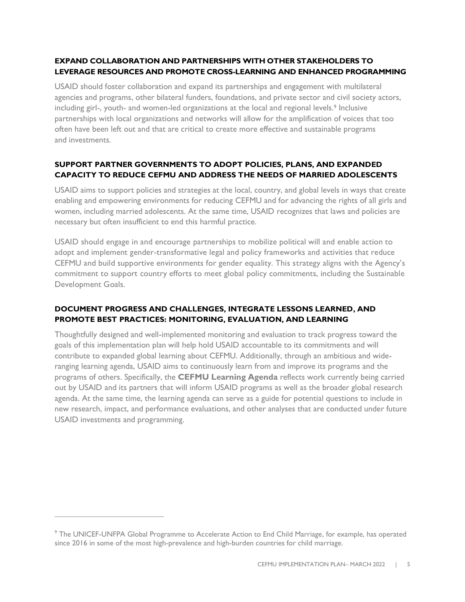## **EXPAND COLLABORATION AND PARTNERSHIPS WITH OTHER STAKEHOLDERS TO LEVERAGE RESOURCES AND PROMOTE CROSS-LEARNING AND ENHANCED PROGRAMMING**

USAID should foster collaboration and expand its partnerships and engagement with multilateral agencies and programs, other bilateral funders, foundations, and private sector and civil society actors, including girl-, youth- and women-led organizations at the local and regional levels.<sup>9</sup> Inclusive partnerships with local organizations and networks will allow for the amplification of voices that too often have been left out and that are critical to create more effective and sustainable programs and investments.

## **SUPPORT PARTNER GOVERNMENTS TO ADOPT POLICIES, PLANS, AND EXPANDED CAPACITY TO REDUCE CEFMU AND ADDRESS THE NEEDS OF MARRIED ADOLESCENTS**

USAID aims to support policies and strategies at the local, country, and global levels in ways that create enabling and empowering environments for reducing CEFMU and for advancing the rights of all girls and women, including married adolescents. At the same time, USAID recognizes that laws and policies are necessary but often insufficient to end this harmful practice.

USAID should engage in and encourage partnerships to mobilize political will and enable action to adopt and implement gender-transformative legal and policy frameworks and activities that reduce CEFMU and build supportive environments for gender equality. This strategy aligns with the Agency's commitment to support country efforts to meet global policy commitments, including the Sustainable Development Goals.

## **DOCUMENT PROGRESS AND CHALLENGES, INTEGRATE LESSONS LEARNED, AND PROMOTE BEST PRACTICES: MONITORING, EVALUATION, AND LEARNING**

Thoughtfully designed and well-implemented monitoring and evaluation to track progress toward the goals of this implementation plan will help hold USAID accountable to its commitments and will contribute to expanded global learning about CEFMU. Additionally, through an ambitious and wideranging learning agenda, USAID aims to continuously learn from and improve its programs and the programs of others. Specifically, the **CEFMU Learning Agenda** reflects work currently being carried out by USAID and its partners that will inform USAID programs as well as the broader global research agenda. At the same time, the learning agenda can serve as a guide for potential questions to include in new research, impact, and performance evaluations, and other analyses that are conducted under future USAID investments and programming.

<sup>&</sup>lt;sup>9</sup> The UNICEF-UNFPA Global Programme to Accelerate Action to End Child Marriage, for example, has operated since 2016 in some of the most high-prevalence and high-burden countries for child marriage.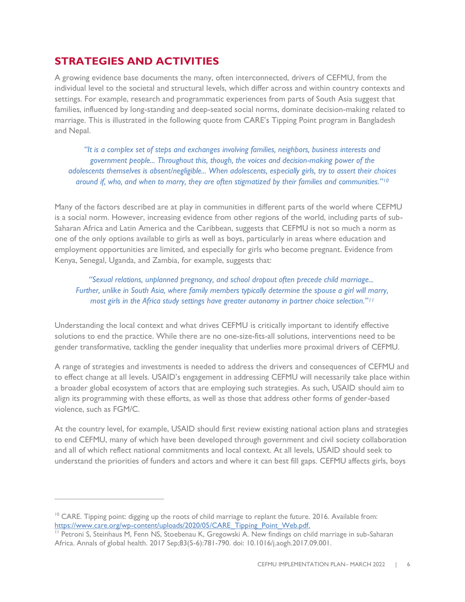# **STRATEGIES AND ACTIVITIES**

A growing evidence base documents the many, often interconnected, drivers of CEFMU, from the individual level to the societal and structural levels, which differ across and within country contexts and settings. For example, research and programmatic experiences from parts of South Asia suggest that families, influenced by long-standing and deep-seated social norms, dominate decision-making related to marriage. This is illustrated in the following quote from CARE's Tipping Point program in Bangladesh and Nepal.

*"It is a complex set of steps and exchanges involving families, neighbors, business interests and government people... Throughout this, though, the voices and decision-making power of the adolescents themselves is absent/negligible... When adolescents, especially girls, try to assert their choices around if, who, and when to marry, they are often stigmatized by their families and communities."<sup>10</sup>*

Many of the factors described are at play in communities in different parts of the world where CEFMU is a social norm. However, increasing evidence from other regions of the world, including parts of sub-Saharan Africa and Latin America and the Caribbean, suggests that CEFMU is not so much a norm as one of the only options available to girls as well as boys, particularly in areas where education and employment opportunities are limited, and especially for girls who become pregnant. Evidence from Kenya, Senegal, Uganda, and Zambia, for example, suggests that:

*"Sexual relations, unplanned pregnancy, and school dropout often precede child marriage... Further, unlike in South Asia, where family members typically determine the spouse a girl will marry, most girls in the Africa study settings have greater autonomy in partner choice selection."<sup>11</sup>*

Understanding the local context and what drives CEFMU is critically important to identify effective solutions to end the practice. While there are no one-size-fits-all solutions, interventions need to be gender transformative, tackling the gender inequality that underlies more proximal drivers of CEFMU.

A range of strategies and investments is needed to address the drivers and consequences of CEFMU and to effect change at all levels. USAID's engagement in addressing CEFMU will necessarily take place within a broader global ecosystem of actors that are employing such strategies. As such, USAID should aim to align its programming with these efforts, as well as those that address other forms of gender-based violence, such as FGM/C.

At the country level, for example, USAID should first review existing national action plans and strategies to end CEFMU, many of which have been developed through government and civil society collaboration and all of which reflect national commitments and local context. At all levels, USAID should seek to understand the priorities of funders and actors and where it can best fill gaps. CEFMU affects girls, boys

<sup>&</sup>lt;sup>10</sup> CARE. Tipping point: digging up the roots of child marriage to replant the future. 2016. Available from: [https://www.care.org/wp-content/uploads/2020/05/CARE\\_Tipping\\_Point\\_Web.pdf.](https://www.care.org/wp-content/uploads/2020/05/CARE_Tipping_Point_Web.pdf)

<sup>11</sup> Petroni S, Steinhaus M, Fenn NS, Stoebenau K, Gregowski A. New findings on child marriage in sub-Saharan Africa. Annals of global health. 2017 Sep;83(5-6):781-790. doi: 10.1016/j.aogh.2017.09.001.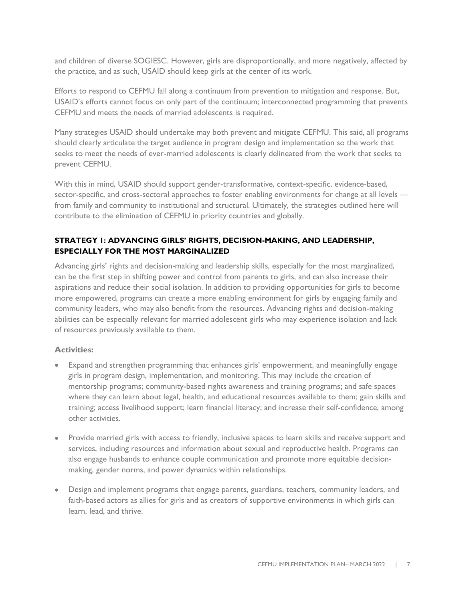and children of diverse SOGIESC. However, girls are disproportionally, and more negatively, affected by the practice, and as such, USAID should keep girls at the center of its work.

Efforts to respond to CEFMU fall along a continuum from prevention to mitigation and response. But, USAID's efforts cannot focus on only part of the continuum; interconnected programming that prevents CEFMU and meets the needs of married adolescents is required.

Many strategies USAID should undertake may both prevent and mitigate CEFMU. This said, all programs should clearly articulate the target audience in program design and implementation so the work that seeks to meet the needs of ever-married adolescents is clearly delineated from the work that seeks to prevent CEFMU.

With this in mind, USAID should support gender-transformative, context-specific, evidence-based, sector-specific, and cross-sectoral approaches to foster enabling environments for change at all levels from family and community to institutional and structural. Ultimately, the strategies outlined here will contribute to the elimination of CEFMU in priority countries and globally.

## **STRATEGY 1: ADVANCING GIRLS' RIGHTS, DECISION-MAKING, AND LEADERSHIP, ESPECIALLY FOR THE MOST MARGINALIZED**

Advancing girls' rights and decision-making and leadership skills, especially for the most marginalized, can be the first step in shifting power and control from parents to girls, and can also increase their aspirations and reduce their social isolation. In addition to providing opportunities for girls to become more empowered, programs can create a more enabling environment for girls by engaging family and community leaders, who may also benefit from the resources. Advancing rights and decision-making abilities can be especially relevant for married adolescent girls who may experience isolation and lack of resources previously available to them.

#### **Activities:**

- Expand and strengthen programming that enhances girls' empowerment, and meaningfully engage girls in program design, implementation, and monitoring. This may include the creation of mentorship programs; community-based rights awareness and training programs; and safe spaces where they can learn about legal, health, and educational resources available to them; gain skills and training; access livelihood support; learn financial literacy; and increase their self-confidence, among other activities.
- Provide married girls with access to friendly, inclusive spaces to learn skills and receive support and services, including resources and information about sexual and reproductive health. Programs can also engage husbands to enhance couple communication and promote more equitable decisionmaking, gender norms, and power dynamics within relationships.
- Design and implement programs that engage parents, guardians, teachers, community leaders, and faith-based actors as allies for girls and as creators of supportive environments in which girls can learn, lead, and thrive.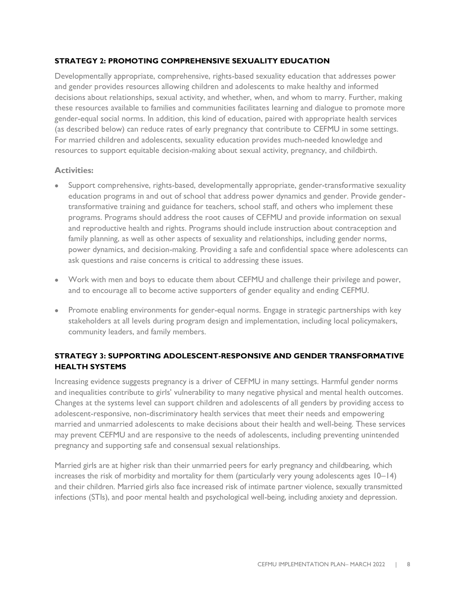#### **STRATEGY 2: PROMOTING COMPREHENSIVE SEXUALITY EDUCATION**

Developmentally appropriate, comprehensive, rights-based sexuality education that addresses power and gender provides resources allowing children and adolescents to make healthy and informed decisions about relationships, sexual activity, and whether, when, and whom to marry. Further, making these resources available to families and communities facilitates learning and dialogue to promote more gender-equal social norms. In addition, this kind of education, paired with appropriate health services (as described below) can reduce rates of early pregnancy that contribute to CEFMU in some settings. For married children and adolescents, sexuality education provides much-needed knowledge and resources to support equitable decision-making about sexual activity, pregnancy, and childbirth.

#### **Activities:**

- Support comprehensive, rights-based, developmentally appropriate, gender-transformative sexuality education programs in and out of school that address power dynamics and gender. Provide gendertransformative training and guidance for teachers, school staff, and others who implement these programs. Programs should address the root causes of CEFMU and provide information on sexual and reproductive health and rights. Programs should include instruction about contraception and family planning, as well as other aspects of sexuality and relationships, including gender norms, power dynamics, and decision-making. Providing a safe and confidential space where adolescents can ask questions and raise concerns is critical to addressing these issues.
- Work with men and boys to educate them about CEFMU and challenge their privilege and power, and to encourage all to become active supporters of gender equality and ending CEFMU.
- Promote enabling environments for gender-equal norms. Engage in strategic partnerships with key stakeholders at all levels during program design and implementation, including local policymakers, community leaders, and family members.

## **STRATEGY 3: SUPPORTING ADOLESCENT-RESPONSIVE AND GENDER TRANSFORMATIVE HEALTH SYSTEMS**

Increasing evidence suggests pregnancy is a driver of CEFMU in many settings. Harmful gender norms and inequalities contribute to girls' vulnerability to many negative physical and mental health outcomes. Changes at the systems level can support children and adolescents of all genders by providing access to adolescent-responsive, non-discriminatory health services that meet their needs and empowering married and unmarried adolescents to make decisions about their health and well-being. These services may prevent CEFMU and are responsive to the needs of adolescents, including preventing unintended pregnancy and supporting safe and consensual sexual relationships.

Married girls are at higher risk than their unmarried peers for early pregnancy and childbearing, which increases the risk of morbidity and mortality for them (particularly very young adolescents ages 10–14) and their children. Married girls also face increased risk of intimate partner violence, sexually transmitted infections (STIs), and poor mental health and psychological well-being, including anxiety and depression.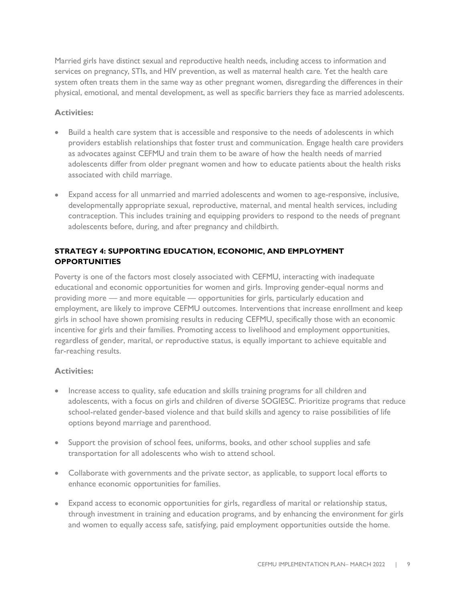Married girls have distinct sexual and reproductive health needs, including access to information and services on pregnancy, STIs, and HIV prevention, as well as maternal health care. Yet the health care system often treats them in the same way as other pregnant women, disregarding the differences in their physical, emotional, and mental development, as well as specific barriers they face as married adolescents.

#### **Activities:**

- Build a health care system that is accessible and responsive to the needs of adolescents in which providers establish relationships that foster trust and communication. Engage health care providers as advocates against CEFMU and train them to be aware of how the health needs of married adolescents differ from older pregnant women and how to educate patients about the health risks associated with child marriage.
- Expand access for all unmarried and married adolescents and women to age-responsive, inclusive, developmentally appropriate sexual, reproductive, maternal, and mental health services, including contraception. This includes training and equipping providers to respond to the needs of pregnant adolescents before, during, and after pregnancy and childbirth.

## **STRATEGY 4: SUPPORTING EDUCATION, ECONOMIC, AND EMPLOYMENT OPPORTUNITIES**

Poverty is one of the factors most closely associated with CEFMU, interacting with inadequate educational and economic opportunities for women and girls. Improving gender-equal norms and providing more — and more equitable — opportunities for girls, particularly education and employment, are likely to improve CEFMU outcomes. Interventions that increase enrollment and keep girls in school have shown promising results in reducing CEFMU, specifically those with an economic incentive for girls and their families. Promoting access to livelihood and employment opportunities, regardless of gender, marital, or reproductive status, is equally important to achieve equitable and far-reaching results.

#### **Activities:**

- Increase access to quality, safe education and skills training programs for all children and adolescents, with a focus on girls and children of diverse SOGIESC. Prioritize programs that reduce school-related gender-based violence and that build skills and agency to raise possibilities of life options beyond marriage and parenthood.
- Support the provision of school fees, uniforms, books, and other school supplies and safe transportation for all adolescents who wish to attend school.
- Collaborate with governments and the private sector, as applicable, to support local efforts to enhance economic opportunities for families.
- Expand access to economic opportunities for girls, regardless of marital or relationship status, through investment in training and education programs, and by enhancing the environment for girls and women to equally access safe, satisfying, paid employment opportunities outside the home.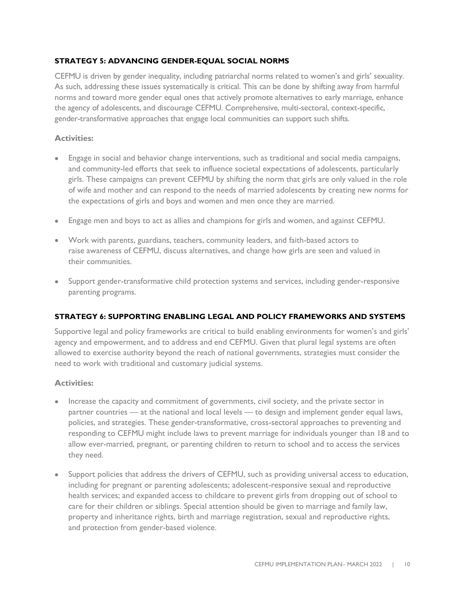#### **STRATEGY 5: ADVANCING GENDER-EQUAL SOCIAL NORMS**

CEFMU is driven by gender inequality, including patriarchal norms related to women's and girls' sexuality. As such, addressing these issues systematically is critical. This can be done by shifting away from harmful norms and toward more gender equal ones that actively promote alternatives to early marriage, enhance the agency of adolescents, and discourage CEFMU. Comprehensive, multi-sectoral, context-specific, gender-transformative approaches that engage local communities can support such shifts.

#### **Activities:**

- Engage in social and behavior change interventions, such as traditional and social media campaigns, and community-led efforts that seek to influence societal expectations of adolescents, particularly girls. These campaigns can prevent CEFMU by shifting the norm that girls are only valued in the role of wife and mother and can respond to the needs of married adolescents by creating new norms for the expectations of girls and boys and women and men once they are married.
- Engage men and boys to act as allies and champions for girls and women, and against CEFMU.
- Work with parents, guardians, teachers, community leaders, and faith-based actors to raise awareness of CEFMU, discuss alternatives, and change how girls are seen and valued in their communities.
- Support gender-transformative child protection systems and service*s*, including gender-responsive parenting programs.

#### **STRATEGY 6: SUPPORTING ENABLING LEGAL AND POLICY FRAMEWORKS AND SYSTEMS**

Supportive legal and policy frameworks are critical to build enabling environments for women's and girls' agency and empowerment, and to address and end CEFMU. Given that plural legal systems are often allowed to exercise authority beyond the reach of national governments, strategies must consider the need to work with traditional and customary judicial systems.

#### **Activities:**

- Increase the capacity and commitment of governments, civil society, and the private sector in partner countries — at the national and local levels — to design and implement gender equal laws, policies, and strategies. These gender-transformative, cross-sectoral approaches to preventing and responding to CEFMU might include laws to prevent marriage for individuals younger than 18 and to allow ever-married, pregnant, or parenting children to return to school and to access the services they need.
- Support policies that address the drivers of CEFMU, such as providing universal access to education, including for pregnant or parenting adolescents; adolescent-responsive sexual and reproductive health services; and expanded access to childcare to prevent girls from dropping out of school to care for their children or siblings. Special attention should be given to marriage and family law, property and inheritance rights, birth and marriage registration, sexual and reproductive rights, and protection from gender-based violence.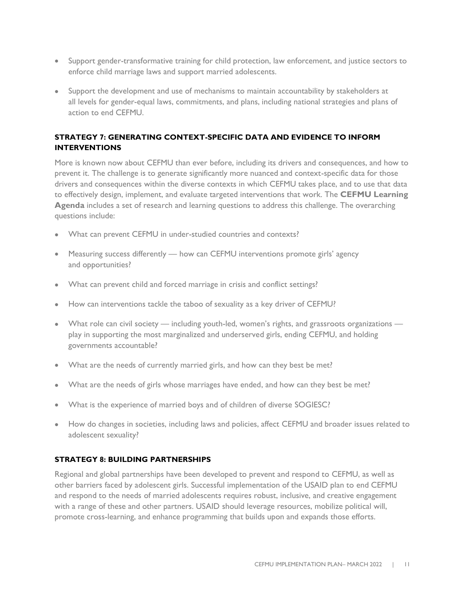- Support gender-transformative training for child protection, law enforcement, and justice sectors to enforce child marriage laws and support married adolescents.
- Support the development and use of mechanisms to maintain accountability by stakeholders at all levels for gender-equal laws, commitments, and plans, including national strategies and plans of action to end CEFMU.

## **STRATEGY 7: GENERATING CONTEXT-SPECIFIC DATA AND EVIDENCE TO INFORM INTERVENTIONS**

More is known now about CEFMU than ever before, including its drivers and consequences, and how to prevent it. The challenge is to generate significantly more nuanced and context-specific data for those drivers and consequences within the diverse contexts in which CEFMU takes place, and to use that data to effectively design, implement, and evaluate targeted interventions that work. The **CEFMU Learning Agenda** includes a set of research and learning questions to address this challenge. The overarching questions include:

- What can prevent CEFMU in under-studied countries and contexts?
- Measuring success differently how can CEFMU interventions promote girls' agency and opportunities?
- What can prevent child and forced marriage in crisis and conflict settings?
- How can interventions tackle the taboo of sexuality as a key driver of CEFMU?
- What role can civil society including youth-led, women's rights, and grassroots organizations play in supporting the most marginalized and underserved girls, ending CEFMU, and holding governments accountable?
- What are the needs of currently married girls, and how can they best be met?
- What are the needs of girls whose marriages have ended, and how can they best be met?
- What is the experience of married boys and of children of diverse SOGIESC?
- How do changes in societies, including laws and policies, affect CEFMU and broader issues related to adolescent sexuality?

#### **STRATEGY 8: BUILDING PARTNERSHIPS**

Regional and global partnerships have been developed to prevent and respond to CEFMU, as well as other barriers faced by adolescent girls. Successful implementation of the USAID plan to end CEFMU and respond to the needs of married adolescents requires robust, inclusive, and creative engagement with a range of these and other partners. USAID should leverage resources, mobilize political will, promote cross-learning, and enhance programming that builds upon and expands those efforts.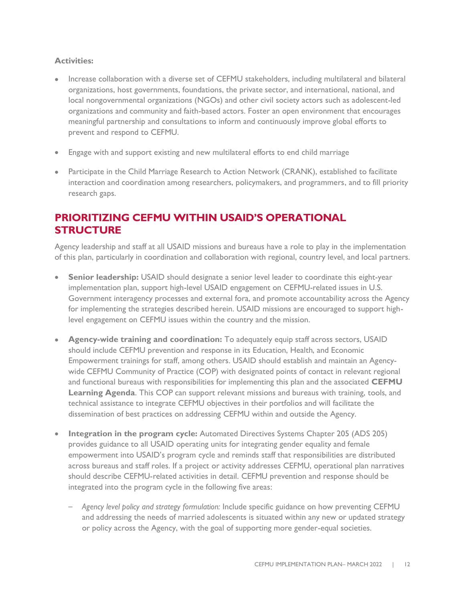## **Activities:**

- Increase collaboration with a diverse set of CEFMU stakeholders, including multilateral and bilateral organizations, host governments, foundations, the private sector, and international, national, and local nongovernmental organizations (NGOs) and other civil society actors such as adolescent-led organizations and community and faith-based actors. Foster an open environment that encourages meaningful partnership and consultations to inform and continuously improve global efforts to prevent and respond to CEFMU.
- Engage with and support existing and new multilateral efforts to end child marriage
- Participate in the Child Marriage Research to Action Network (CRANK), established to facilitate interaction and coordination among researchers, policymakers, and programmers, and to fill priority research gaps.

## **PRIORITIZING CEFMU WITHIN USAID'S OPERATIONAL STRUCTURE**

Agency leadership and staff at all USAID missions and bureaus have a role to play in the implementation of this plan, particularly in coordination and collaboration with regional, country level, and local partners.

- **Senior leadership:** USAID should designate a senior level leader to coordinate this eight-year implementation plan, support high-level USAID engagement on CEFMU-related issues in U.S. Government interagency processes and external fora, and promote accountability across the Agency for implementing the strategies described herein. USAID missions are encouraged to support highlevel engagement on CEFMU issues within the country and the mission.
- **Agency-wide training and coordination:** To adequately equip staff across sectors, USAID should include CEFMU prevention and response in its Education, Health, and Economic Empowerment trainings for staff, among others. USAID should establish and maintain an Agencywide CEFMU Community of Practice (COP) with designated points of contact in relevant regional and functional bureaus with responsibilities for implementing this plan and the associated **CEFMU Learning Agenda**. This COP can support relevant missions and bureaus with training, tools, and technical assistance to integrate CEFMU objectives in their portfolios and will facilitate the dissemination of best practices on addressing CEFMU within and outside the Agency.
- **Integration in the program cycle:** Automated Directives Systems Chapter 205 (ADS 205) provides guidance to all USAID operating units for integrating gender equality and female empowerment into USAID's program cycle and reminds staff that responsibilities are distributed across bureaus and staff roles. If a project or activity addresses CEFMU, operational plan narratives should describe CEFMU-related activities in detail. CEFMU prevention and response should be integrated into the program cycle in the following five areas:
	- *Agency level policy and strategy formulation:* Include specific guidance on how preventing CEFMU and addressing the needs of married adolescents is situated within any new or updated strategy or policy across the Agency, with the goal of supporting more gender-equal societies.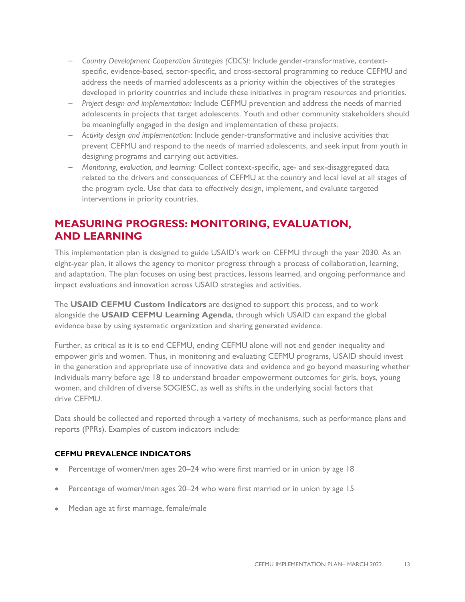- *Country Development Cooperation Strategies (CDCS):* Include gender-transformative, contextspecific, evidence-based, sector-specific, and cross-sectoral programming to reduce CEFMU and address the needs of married adolescents as a priority within the objectives of the strategies developed in priority countries and include these initiatives in program resources and priorities.
- *Project design and implementation:* Include CEFMU prevention and address the needs of married adolescents in projects that target adolescents. Youth and other community stakeholders should be meaningfully engaged in the design and implementation of these projects.
- *Activity design and implementation:* Include gender-transformative and inclusive activities that prevent CEFMU and respond to the needs of married adolescents, and seek input from youth in designing programs and carrying out activities.
- *Monitoring, evaluation, and learning:* Collect context-specific, age- and sex-disaggregated data related to the drivers and consequences of CEFMU at the country and local level at all stages of the program cycle. Use that data to effectively design, implement, and evaluate targeted interventions in priority countries.

# **MEASURING PROGRESS: MONITORING, EVALUATION, AND LEARNING**

This implementation plan is designed to guide USAID's work on CEFMU through the year 2030. As an eight-year plan, it allows the agency to monitor progress through a process of collaboration, learning, and adaptation. The plan focuses on using best practices, lessons learned, and ongoing performance and impact evaluations and innovation across USAID strategies and activities.

The **USAID CEFMU Custom Indicators** are designed to support this process, and to work alongside the **USAID CEFMU Learning Agenda**, through which USAID can expand the global evidence base by using systematic organization and sharing generated evidence.

Further, as critical as it is to end CEFMU, ending CEFMU alone will not end gender inequality and empower girls and women. Thus, in monitoring and evaluating CEFMU programs, USAID should invest in the generation and appropriate use of innovative data and evidence and go beyond measuring whether individuals marry before age 18 to understand broader empowerment outcomes for girls, boys, young women, and children of diverse SOGIESC, as well as shifts in the underlying social factors that drive CEFMU.

Data should be collected and reported through a variety of mechanisms, such as performance plans and reports (PPRs). Examples of custom indicators include:

#### **CEFMU PREVALENCE INDICATORS**

- Percentage of women/men ages 20–24 who were first married or in union by age 18
- Percentage of women/men ages 20–24 who were first married or in union by age 15
- Median age at first marriage, female/male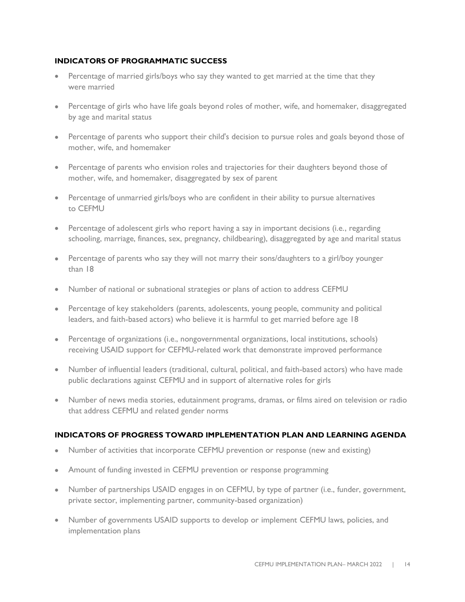#### **INDICATORS OF PROGRAMMATIC SUCCESS**

- Percentage of married girls/boys who say they wanted to get married at the time that they were married
- Percentage of girls who have life goals beyond roles of mother, wife, and homemaker, disaggregated by age and marital status
- Percentage of parents who support their child's decision to pursue roles and goals beyond those of mother, wife, and homemaker
- Percentage of parents who envision roles and trajectories for their daughters beyond those of mother, wife, and homemaker, disaggregated by sex of parent
- Percentage of unmarried girls/boys who are confident in their ability to pursue alternatives to CEFMU
- Percentage of adolescent girls who report having a say in important decisions (i.e., regarding schooling, marriage, finances, sex, pregnancy, childbearing), disaggregated by age and marital status
- Percentage of parents who say they will not marry their sons/daughters to a girl/boy younger than 18
- Number of national or subnational strategies or plans of action to address CEFMU
- Percentage of key stakeholders (parents, adolescents, young people, community and political leaders, and faith-based actors) who believe it is harmful to get married before age 18
- Percentage of organizations (i.e., nongovernmental organizations, local institutions, schools) receiving USAID support for CEFMU-related work that demonstrate improved performance
- Number of influential leaders (traditional, cultural, political, and faith-based actors) who have made public declarations against CEFMU and in support of alternative roles for girls
- Number of news media stories, edutainment programs, dramas, or films aired on television or radio that address CEFMU and related gender norms

#### **INDICATORS OF PROGRESS TOWARD IMPLEMENTATION PLAN AND LEARNING AGENDA**

- Number of activities that incorporate CEFMU prevention or response (new and existing)
- Amount of funding invested in CEFMU prevention or response programming
- Number of partnerships USAID engages in on CEFMU, by type of partner (i.e., funder, government, private sector, implementing partner, community-based organization)
- Number of governments USAID supports to develop or implement CEFMU laws, policies, and implementation plans